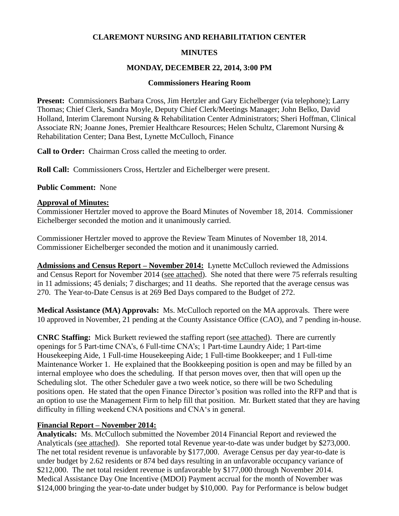#### **CLAREMONT NURSING AND REHABILITATION CENTER**

### **MINUTES**

#### **MONDAY, DECEMBER 22, 2014, 3:00 PM**

#### **Commissioners Hearing Room**

**Present:** Commissioners Barbara Cross, Jim Hertzler and Gary Eichelberger (via telephone); Larry Thomas; Chief Clerk, Sandra Moyle, Deputy Chief Clerk/Meetings Manager; John Belko, David Holland, Interim Claremont Nursing & Rehabilitation Center Administrators; Sheri Hoffman, Clinical Associate RN; Joanne Jones, Premier Healthcare Resources; Helen Schultz, Claremont Nursing & Rehabilitation Center; Dana Best, Lynette McCulloch, Finance

**Call to Order:** Chairman Cross called the meeting to order.

**Roll Call:** Commissioners Cross, Hertzler and Eichelberger were present.

### **Public Comment:** None

### **Approval of Minutes:**

Commissioner Hertzler moved to approve the Board Minutes of November 18, 2014. Commissioner Eichelberger seconded the motion and it unanimously carried.

Commissioner Hertzler moved to approve the Review Team Minutes of November 18, 2014. Commissioner Eichelberger seconded the motion and it unanimously carried.

**Admissions and Census Report – November 2014:** Lynette McCulloch reviewed the Admissions and Census Report for November 2014 (see attached). She noted that there were 75 referrals resulting in 11 admissions; 45 denials; 7 discharges; and 11 deaths. She reported that the average census was 270. The Year-to-Date Census is at 269 Bed Days compared to the Budget of 272.

**Medical Assistance (MA) Approvals:** Ms. McCulloch reported on the MA approvals. There were 10 approved in November, 21 pending at the County Assistance Office (CAO), and 7 pending in-house.

**CNRC Staffing:** Mick Burkett reviewed the staffing report (see attached). There are currently openings for 5 Part-time CNA's, 6 Full-time CNA's; 1 Part-time Laundry Aide; 1 Part-time Housekeeping Aide, 1 Full-time Housekeeping Aide; 1 Full-time Bookkeeper; and 1 Full-time Maintenance Worker 1. He explained that the Bookkeeping position is open and may be filled by an internal employee who does the scheduling. If that person moves over, then that will open up the Scheduling slot. The other Scheduler gave a two week notice, so there will be two Scheduling positions open. He stated that the open Finance Director's position was rolled into the RFP and that is an option to use the Management Firm to help fill that position. Mr. Burkett stated that they are having difficulty in filling weekend CNA positions and CNA's in general.

## **Financial Report – November 2014:**

**Analyticals:** Ms. McCulloch submitted the November 2014 Financial Report and reviewed the Analyticals (see attached). She reported total Revenue year-to-date was under budget by \$273,000. The net total resident revenue is unfavorable by \$177,000. Average Census per day year-to-date is under budget by 2.62 residents or 874 bed days resulting in an unfavorable occupancy variance of \$212,000. The net total resident revenue is unfavorable by \$177,000 through November 2014. Medical Assistance Day One Incentive (MDOI) Payment accrual for the month of November was \$124,000 bringing the year-to-date under budget by \$10,000. Pay for Performance is below budget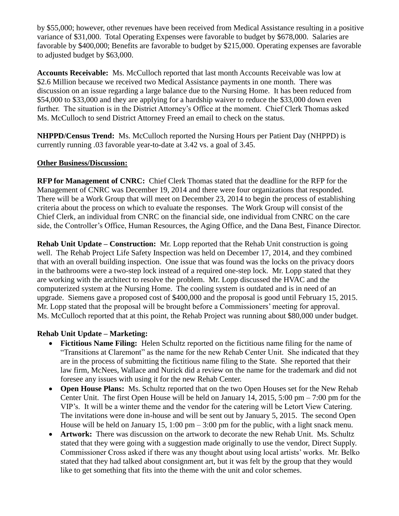by \$55,000; however, other revenues have been received from Medical Assistance resulting in a positive variance of \$31,000. Total Operating Expenses were favorable to budget by \$678,000. Salaries are favorable by \$400,000; Benefits are favorable to budget by \$215,000. Operating expenses are favorable to adjusted budget by \$63,000.

**Accounts Receivable:** Ms. McCulloch reported that last month Accounts Receivable was low at \$2.6 Million because we received two Medical Assistance payments in one month. There was discussion on an issue regarding a large balance due to the Nursing Home. It has been reduced from \$54,000 to \$33,000 and they are applying for a hardship waiver to reduce the \$33,000 down even further. The situation is in the District Attorney's Office at the moment. Chief Clerk Thomas asked Ms. McCulloch to send District Attorney Freed an email to check on the status.

**NHPPD/Census Trend:** Ms. McCulloch reported the Nursing Hours per Patient Day (NHPPD) is currently running .03 favorable year-to-date at 3.42 vs. a goal of 3.45.

# **Other Business/Discussion:**

**RFP for Management of CNRC:** Chief Clerk Thomas stated that the deadline for the RFP for the Management of CNRC was December 19, 2014 and there were four organizations that responded. There will be a Work Group that will meet on December 23, 2014 to begin the process of establishing criteria about the process on which to evaluate the responses. The Work Group will consist of the Chief Clerk, an individual from CNRC on the financial side, one individual from CNRC on the care side, the Controller's Office, Human Resources, the Aging Office, and the Dana Best, Finance Director.

**Rehab Unit Update – Construction:** Mr. Lopp reported that the Rehab Unit construction is going well. The Rehab Project Life Safety Inspection was held on December 17, 2014, and they combined that with an overall building inspection. One issue that was found was the locks on the privacy doors in the bathrooms were a two-step lock instead of a required one-step lock. Mr. Lopp stated that they are working with the architect to resolve the problem. Mr. Lopp discussed the HVAC and the computerized system at the Nursing Home. The cooling system is outdated and is in need of an upgrade. Siemens gave a proposed cost of \$400,000 and the proposal is good until February 15, 2015. Mr. Lopp stated that the proposal will be brought before a Commissioners' meeting for approval. Ms. McCulloch reported that at this point, the Rehab Project was running about \$80,000 under budget.

## **Rehab Unit Update – Marketing:**

- **Fictitious Name Filing:** Helen Schultz reported on the fictitious name filing for the name of "Transitions at Claremont" as the name for the new Rehab Center Unit. She indicated that they are in the process of submitting the fictitious name filing to the State. She reported that their law firm, McNees, Wallace and Nurick did a review on the name for the trademark and did not foresee any issues with using it for the new Rehab Center.
- **Open House Plans:** Ms. Schultz reported that on the two Open Houses set for the New Rehab Center Unit. The first Open House will be held on January 14, 2015, 5:00 pm – 7:00 pm for the VIP's. It will be a winter theme and the vendor for the catering will be Letort View Catering. The invitations were done in-house and will be sent out by January 5, 2015. The second Open House will be held on January 15, 1:00 pm – 3:00 pm for the public, with a light snack menu.
- **Artwork:** There was discussion on the artwork to decorate the new Rehab Unit. Ms. Schultz stated that they were going with a suggestion made originally to use the vendor, Direct Supply. Commissioner Cross asked if there was any thought about using local artists' works. Mr. Belko stated that they had talked about consignment art, but it was felt by the group that they would like to get something that fits into the theme with the unit and color schemes.